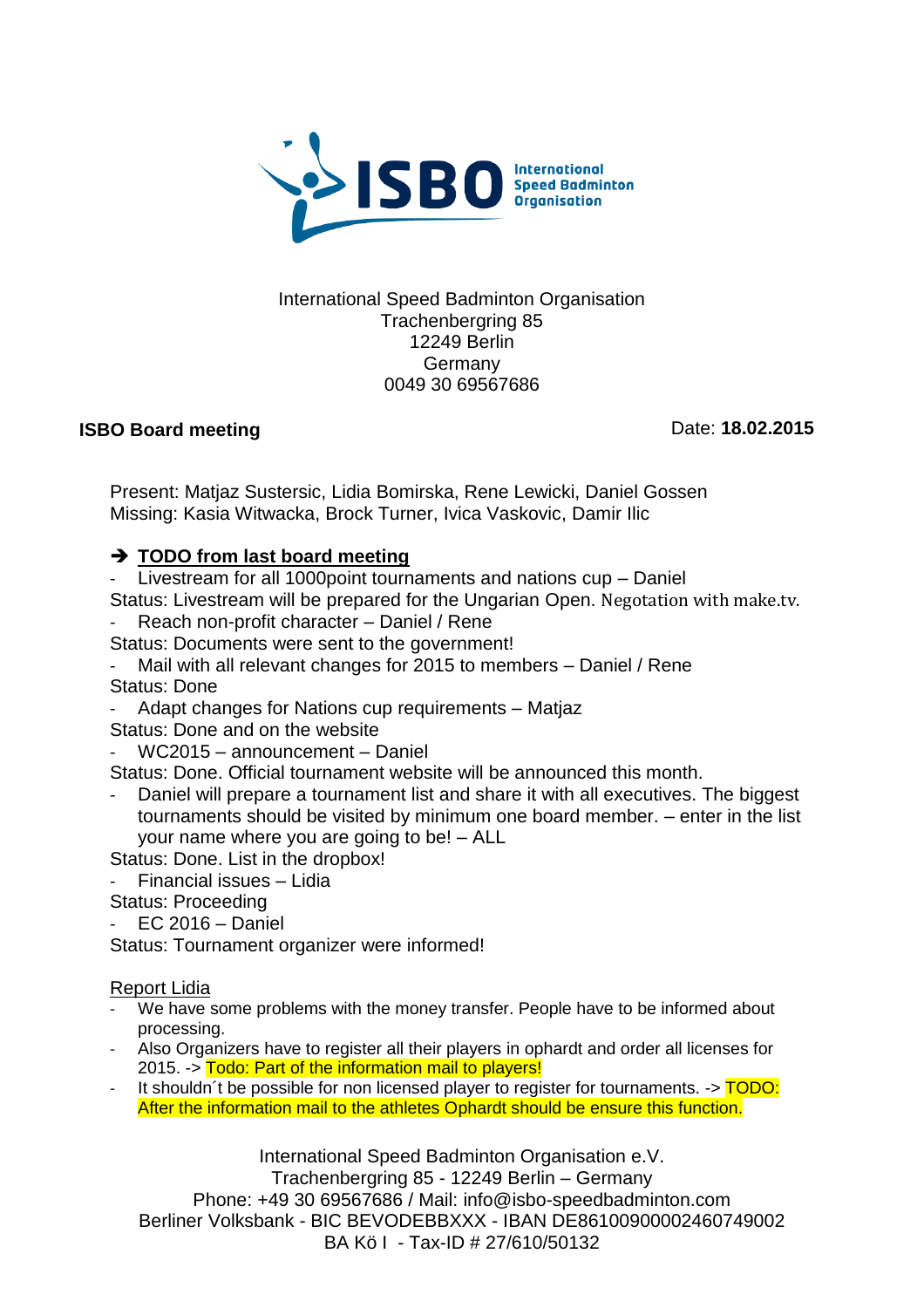

#### International Speed Badminton Organisation Trachenbergring 85 12249 Berlin Germany 0049 30 69567686

## **ISBO Board meeting**

Date: **18.02.2015**

Present: Matjaz Sustersic, Lidia Bomirska, Rene Lewicki, Daniel Gossen Missing: Kasia Witwacka, Brock Turner, Ivica Vaskovic, Damir Ilic

## **→ TODO from last board meeting**

- Livestream for all 1000point tournaments and nations cup – Daniel Status: Livestream will be prepared for the Ungarian Open. Negotation with make.tv.

- Reach non-profit character Daniel / Rene
- Status: Documents were sent to the government!
- Mail with all relevant changes for 2015 to members Daniel / Rene Status: Done
- Adapt changes for Nations cup requirements Matjaz
- Status: Done and on the website
- WC2015 announcement Daniel

Status: Done. Official tournament website will be announced this month.

Daniel will prepare a tournament list and share it with all executives. The biggest tournaments should be visited by minimum one board member. – enter in the list your name where you are going to be! – ALL

Status: Done. List in the dropbox!

- Financial issues – Lidia

Status: Proceeding

 $EC$  2016 – Daniel

Status: Tournament organizer were informed!

#### Report Lidia

- We have some problems with the money transfer. People have to be informed about processing.
- Also Organizers have to register all their players in ophardt and order all licenses for 2015. -> Todo: Part of the information mail to players!
- It shouldn't be possible for non licensed player to register for tournaments.  $\rightarrow$  TODO: After the information mail to the athletes Ophardt should be ensure this function.

International Speed Badminton Organisation e.V. Trachenbergring 85 - 12249 Berlin – Germany Phone: +49 30 69567686 / Mail: info@isbo-speedbadminton.com Berliner Volksbank - BIC BEVODEBBXXX - IBAN DE86100900002460749002 BA Kö I - Tax-ID # 27/610/50132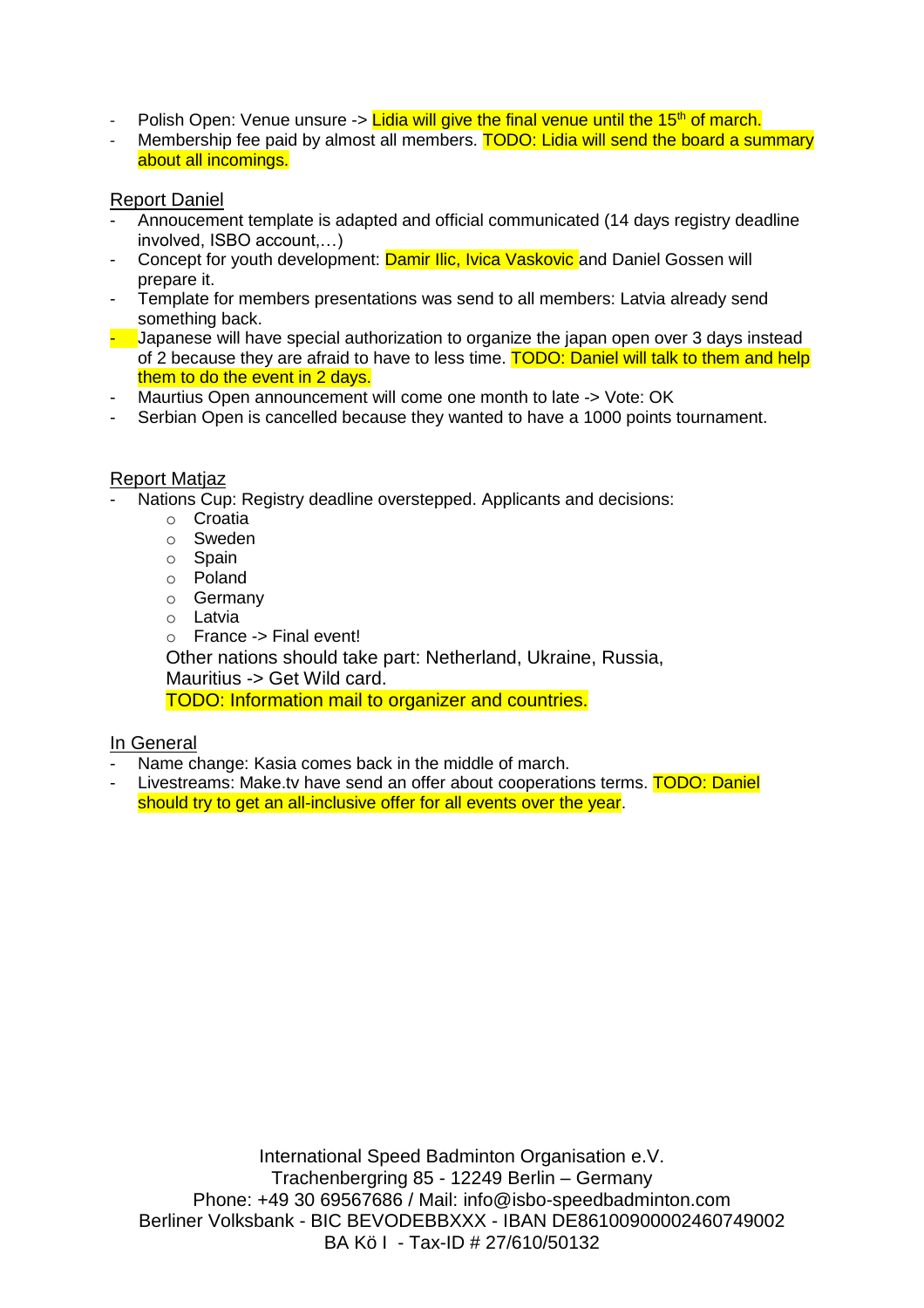- Polish Open: Venue unsure  $\sim$  Lidia will give the final venue until the 15<sup>th</sup> of march.
- Membership fee paid by almost all members. TODO: Lidia will send the board a summary about all incomings.

### Report Daniel

- Annoucement template is adapted and official communicated (14 days registry deadline involved, ISBO account,…)
- Concept for youth development: Damir Ilic, Ivica Vaskovic and Daniel Gossen will prepare it.
- Template for members presentations was send to all members: Latvia already send something back.
- $\frac{1}{2}$  Japanese will have special authorization to organize the japan open over 3 days instead of 2 because they are afraid to have to less time. **TODO: Daniel will talk to them and help** them to do the event in 2 days.
- Maurtius Open announcement will come one month to late -> Vote: OK
- Serbian Open is cancelled because they wanted to have a 1000 points tournament.

#### Report Matjaz

- Nations Cup: Registry deadline overstepped. Applicants and decisions:
	- o Croatia
	- o Sweden
	- o Spain
	- o Poland
	- o Germany
	- o Latvia
	- o France -> Final event!

Other nations should take part: Netherland, Ukraine, Russia,

Mauritius -> Get Wild card.

TODO: Information mail to organizer and countries.

## In General

- Name change: Kasia comes back in the middle of march.
- Livestreams: Make.tv have send an offer about cooperations terms. TODO: Daniel should try to get an all-inclusive offer for all events over the year.